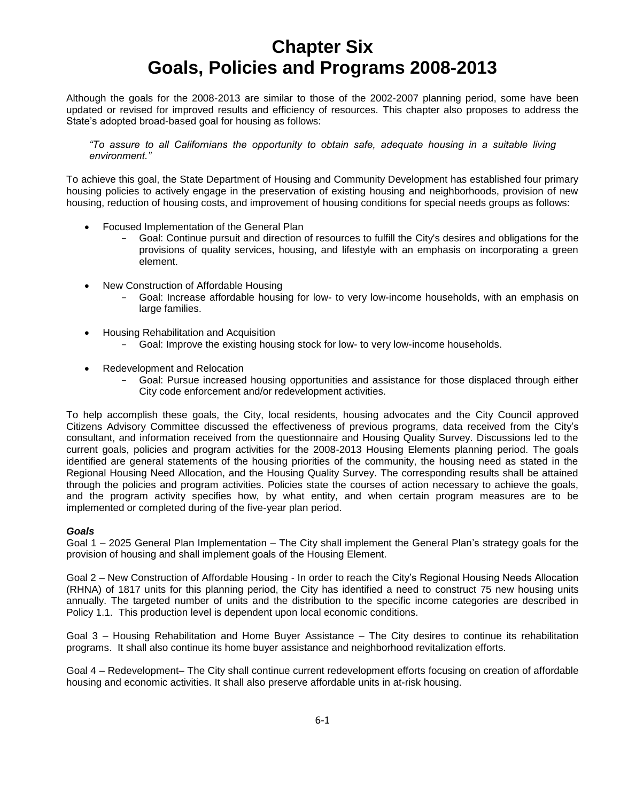Although the goals for the 2008-2013 are similar to those of the 2002-2007 planning period, some have been updated or revised for improved results and efficiency of resources. This chapter also proposes to address the State's adopted broad-based goal for housing as follows:

*"To assure to all Californians the opportunity to obtain safe, adequate housing in a suitable living environment."* 

To achieve this goal, the State Department of Housing and Community Development has established four primary housing policies to actively engage in the preservation of existing housing and neighborhoods, provision of new housing, reduction of housing costs, and improvement of housing conditions for special needs groups as follows:

- Focused Implementation of the General Plan
	- Goal: Continue pursuit and direction of resources to fulfill the City's desires and obligations for the provisions of quality services, housing, and lifestyle with an emphasis on incorporating a green element.
- New Construction of Affordable Housing
	- Goal: Increase affordable housing for low- to very low-income households, with an emphasis on large families.
- Housing Rehabilitation and Acquisition
	- Goal: Improve the existing housing stock for low- to very low-income households.
- Redevelopment and Relocation
	- Goal: Pursue increased housing opportunities and assistance for those displaced through either City code enforcement and/or redevelopment activities.

To help accomplish these goals, the City, local residents, housing advocates and the City Council approved Citizens Advisory Committee discussed the effectiveness of previous programs, data received from the City's consultant, and information received from the questionnaire and Housing Quality Survey. Discussions led to the current goals, policies and program activities for the 2008-2013 Housing Elements planning period. The goals identified are general statements of the housing priorities of the community, the housing need as stated in the Regional Housing Need Allocation, and the Housing Quality Survey. The corresponding results shall be attained through the policies and program activities. Policies state the courses of action necessary to achieve the goals, and the program activity specifies how, by what entity, and when certain program measures are to be implemented or completed during of the five-year plan period.

## *Goals*

Goal 1 – 2025 General Plan Implementation – The City shall implement the General Plan's strategy goals for the provision of housing and shall implement goals of the Housing Element.

Goal 2 – New Construction of Affordable Housing - In order to reach the City's Regional Housing Needs Allocation (RHNA) of 1817 units for this planning period, the City has identified a need to construct 75 new housing units annually. The targeted number of units and the distribution to the specific income categories are described in Policy 1.1. This production level is dependent upon local economic conditions.

Goal 3 – Housing Rehabilitation and Home Buyer Assistance – The City desires to continue its rehabilitation programs. It shall also continue its home buyer assistance and neighborhood revitalization efforts.

Goal 4 – Redevelopment– The City shall continue current redevelopment efforts focusing on creation of affordable housing and economic activities. It shall also preserve affordable units in at-risk housing.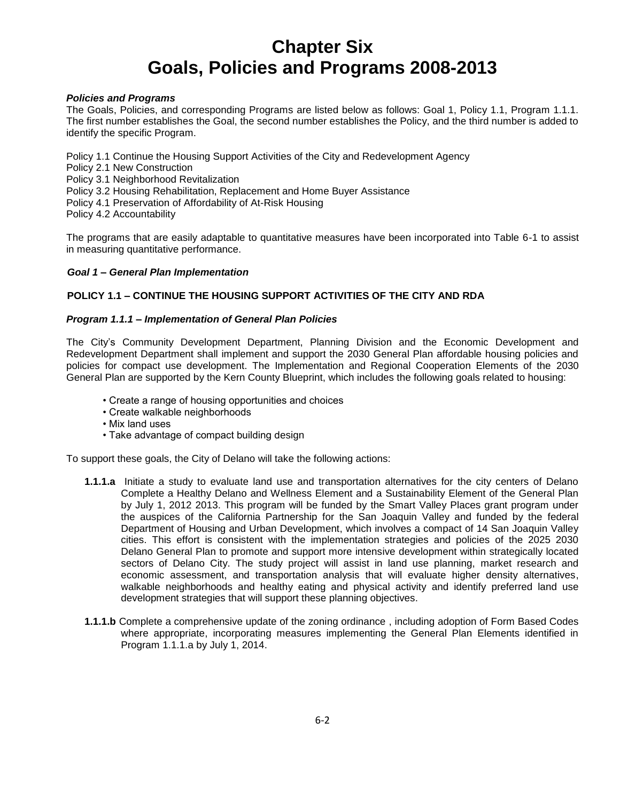## *Policies and Programs*

The Goals, Policies, and corresponding Programs are listed below as follows: Goal 1, Policy 1.1, Program 1.1.1. The first number establishes the Goal, the second number establishes the Policy, and the third number is added to identify the specific Program.

Policy 1.1 Continue the Housing Support Activities of the City and Redevelopment Agency

Policy 2.1 New Construction

Policy 3.1 Neighborhood Revitalization

Policy 3.2 Housing Rehabilitation, Replacement and Home Buyer Assistance

Policy 4.1 Preservation of Affordability of At-Risk Housing

Policy 4.2 Accountability

The programs that are easily adaptable to quantitative measures have been incorporated into Table 6-1 to assist in measuring quantitative performance.

### *Goal 1 – General Plan Implementation*

## **POLICY 1.1 – CONTINUE THE HOUSING SUPPORT ACTIVITIES OF THE CITY AND RDA**

### *Program 1.1.1 – Implementation of General Plan Policies*

The City's Community Development Department, Planning Division and the Economic Development and Redevelopment Department shall implement and support the 2030 General Plan affordable housing policies and policies for compact use development. The Implementation and Regional Cooperation Elements of the 2030 General Plan are supported by the Kern County Blueprint, which includes the following goals related to housing:

- Create a range of housing opportunities and choices
- Create walkable neighborhoods
- Mix land uses
- Take advantage of compact building design

To support these goals, the City of Delano will take the following actions:

- **1.1.1.a**Initiate a study to evaluate land use and transportation alternatives for the city centers of Delano Complete a Healthy Delano and Wellness Element and a Sustainability Element of the General Plan by July 1, 2012 2013. This program will be funded by the Smart Valley Places grant program under the auspices of the California Partnership for the San Joaquin Valley and funded by the federal Department of Housing and Urban Development, which involves a compact of 14 San Joaquin Valley cities. This effort is consistent with the implementation strategies and policies of the 2025 2030 Delano General Plan to promote and support more intensive development within strategically located sectors of Delano City. The study project will assist in land use planning, market research and economic assessment, and transportation analysis that will evaluate higher density alternatives, walkable neighborhoods and healthy eating and physical activity and identify preferred land use development strategies that will support these planning objectives.
- **1.1.1.b** Complete a comprehensive update of the zoning ordinance , including adoption of Form Based Codes where appropriate, incorporating measures implementing the General Plan Elements identified in Program 1.1.1.a by July 1, 2014.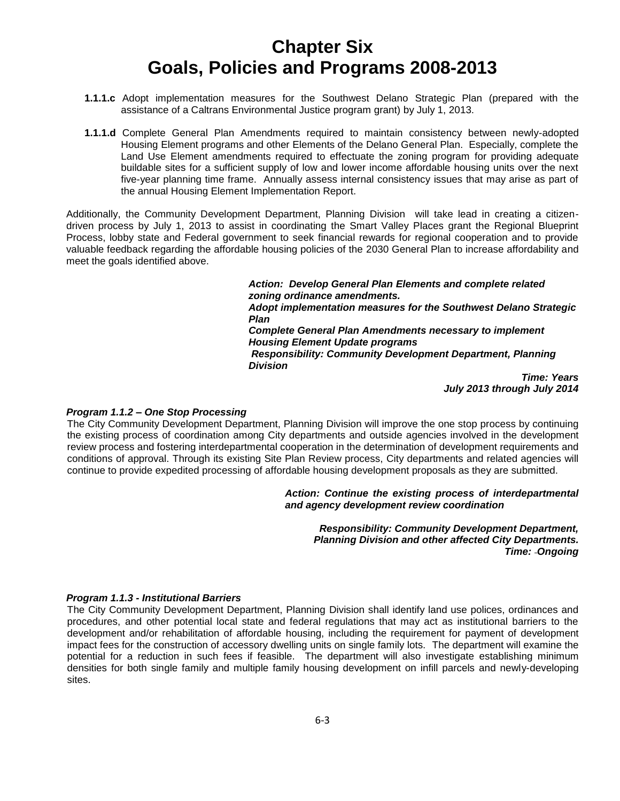- **1.1.1.c** Adopt implementation measures for the Southwest Delano Strategic Plan (prepared with the assistance of a Caltrans Environmental Justice program grant) by July 1, 2013.
- **1.1.1.d** Complete General Plan Amendments required to maintain consistency between newly-adopted Housing Element programs and other Elements of the Delano General Plan. Especially, complete the Land Use Element amendments required to effectuate the zoning program for providing adequate buildable sites for a sufficient supply of low and lower income affordable housing units over the next five-year planning time frame. Annually assess internal consistency issues that may arise as part of the annual Housing Element Implementation Report.

Additionally, the Community Development Department, Planning Division will take lead in creating a citizendriven process by July 1, 2013 to assist in coordinating the Smart Valley Places grant the Regional Blueprint Process, lobby state and Federal government to seek financial rewards for regional cooperation and to provide valuable feedback regarding the affordable housing policies of the 2030 General Plan to increase affordability and meet the goals identified above.

> *Action: Develop General Plan Elements and complete related zoning ordinance amendments. Adopt implementation measures for the Southwest Delano Strategic Plan Complete General Plan Amendments necessary to implement Housing Element Update programs Responsibility: Community Development Department, Planning Division Time: Years*

*July 2013 through July 2014*

## *Program 1.1.2 – One Stop Processing*

The City Community Development Department, Planning Division will improve the one stop process by continuing the existing process of coordination among City departments and outside agencies involved in the development review process and fostering interdepartmental cooperation in the determination of development requirements and conditions of approval. Through its existing Site Plan Review process, City departments and related agencies will continue to provide expedited processing of affordable housing development proposals as they are submitted.

> *Action: Continue the existing process of interdepartmental and agency development review coordination*

*Responsibility: Community Development Department, Planning Division and other affected City Departments. Time: Ongoing*

## *Program 1.1.3 - Institutional Barriers*

The City Community Development Department, Planning Division shall identify land use polices, ordinances and procedures, and other potential local state and federal regulations that may act as institutional barriers to the development and/or rehabilitation of affordable housing, including the requirement for payment of development impact fees for the construction of accessory dwelling units on single family lots. The department will examine the potential for a reduction in such fees if feasible. The department will also investigate establishing minimum densities for both single family and multiple family housing development on infill parcels and newly-developing sites.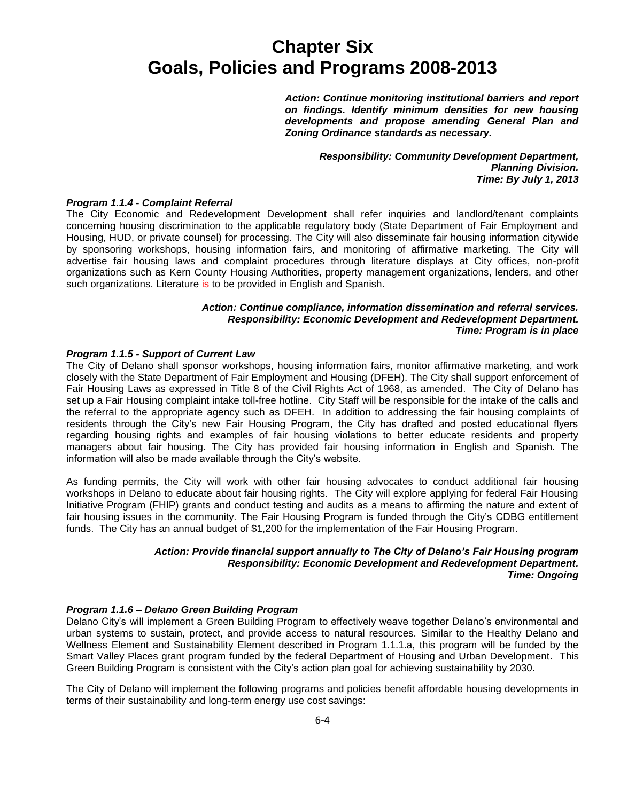*Action: Continue monitoring institutional barriers and report on findings. Identify minimum densities for new housing developments and propose amending General Plan and Zoning Ordinance standards as necessary.*

> *Responsibility: Community Development Department, Planning Division. Time: By July 1, 2013*

### *Program 1.1.4 - Complaint Referral*

The City Economic and Redevelopment Development shall refer inquiries and landlord/tenant complaints concerning housing discrimination to the applicable regulatory body (State Department of Fair Employment and Housing, HUD, or private counsel) for processing. The City will also disseminate fair housing information citywide by sponsoring workshops, housing information fairs, and monitoring of affirmative marketing. The City will advertise fair housing laws and complaint procedures through literature displays at City offices, non-profit organizations such as Kern County Housing Authorities, property management organizations, lenders, and other such organizations. Literature is to be provided in English and Spanish.

## *Action: Continue compliance, information dissemination and referral services. Responsibility: Economic Development and Redevelopment Department. Time: Program is in place*

#### *Program 1.1.5 - Support of Current Law*

The City of Delano shall sponsor workshops, housing information fairs, monitor affirmative marketing, and work closely with the State Department of Fair Employment and Housing (DFEH). The City shall support enforcement of Fair Housing Laws as expressed in Title 8 of the Civil Rights Act of 1968, as amended. The City of Delano has set up a Fair Housing complaint intake toll-free hotline. City Staff will be responsible for the intake of the calls and the referral to the appropriate agency such as DFEH. In addition to addressing the fair housing complaints of residents through the City's new Fair Housing Program, the City has drafted and posted educational flyers regarding housing rights and examples of fair housing violations to better educate residents and property managers about fair housing. The City has provided fair housing information in English and Spanish. The information will also be made available through the City's website.

As funding permits, the City will work with other fair housing advocates to conduct additional fair housing workshops in Delano to educate about fair housing rights. The City will explore applying for federal Fair Housing Initiative Program (FHIP) grants and conduct testing and audits as a means to affirming the nature and extent of fair housing issues in the community. The Fair Housing Program is funded through the City's CDBG entitlement funds. The City has an annual budget of \$1,200 for the implementation of the Fair Housing Program.

### *Action: Provide financial support annually to The City of Delano's Fair Housing program Responsibility: Economic Development and Redevelopment Department. Time: Ongoing*

#### *Program 1.1.6 – Delano Green Building Program*

Delano City's will implement a Green Building Program to effectively weave together Delano's environmental and urban systems to sustain, protect, and provide access to natural resources. Similar to the Healthy Delano and Wellness Element and Sustainability Element described in Program 1.1.1.a, this program will be funded by the Smart Valley Places grant program funded by the federal Department of Housing and Urban Development. This Green Building Program is consistent with the City's action plan goal for achieving sustainability by 2030.

The City of Delano will implement the following programs and policies benefit affordable housing developments in terms of their sustainability and long-term energy use cost savings: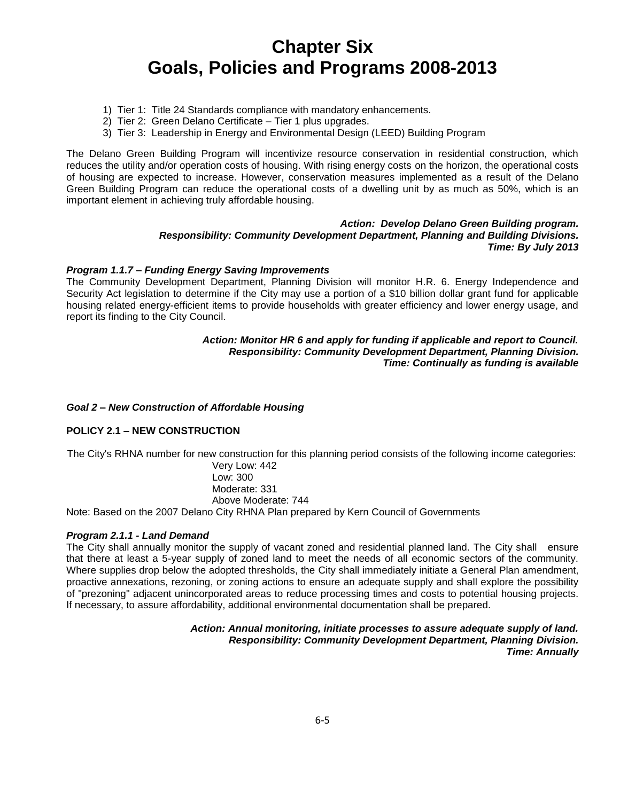- 1) Tier 1: Title 24 Standards compliance with mandatory enhancements.
- 2) Tier 2: Green Delano Certificate Tier 1 plus upgrades.
- 3) Tier 3: Leadership in Energy and Environmental Design (LEED) Building Program

The Delano Green Building Program will incentivize resource conservation in residential construction, which reduces the utility and/or operation costs of housing. With rising energy costs on the horizon, the operational costs of housing are expected to increase. However, conservation measures implemented as a result of the Delano Green Building Program can reduce the operational costs of a dwelling unit by as much as 50%, which is an important element in achieving truly affordable housing.

## *Action: Develop Delano Green Building program. Responsibility: Community Development Department, Planning and Building Divisions. Time: By July 2013*

### *Program 1.1.7 – Funding Energy Saving Improvements*

The Community Development Department, Planning Division will monitor H.R. 6. Energy Independence and Security Act legislation to determine if the City may use a portion of a \$10 billion dollar grant fund for applicable housing related energy-efficient items to provide households with greater efficiency and lower energy usage, and report its finding to the City Council.

## *Action: Monitor HR 6 and apply for funding if applicable and report to Council. Responsibility: Community Development Department, Planning Division. Time: Continually as funding is available*

#### *Goal 2 – New Construction of Affordable Housing*

## **POLICY 2.1 – NEW CONSTRUCTION**

The City's RHNA number for new construction for this planning period consists of the following income categories:

Very Low: 442 Low: 300 Moderate: 331 Above Moderate: 744

Note: Based on the 2007 Delano City RHNA Plan prepared by Kern Council of Governments

#### *Program 2.1.1 - Land Demand*

The City shall annually monitor the supply of vacant zoned and residential planned land. The City shall ensure that there at least a 5-year supply of zoned land to meet the needs of all economic sectors of the community. Where supplies drop below the adopted thresholds, the City shall immediately initiate a General Plan amendment, proactive annexations, rezoning, or zoning actions to ensure an adequate supply and shall explore the possibility of "prezoning" adjacent unincorporated areas to reduce processing times and costs to potential housing projects. If necessary, to assure affordability, additional environmental documentation shall be prepared.

> *Action: Annual monitoring, initiate processes to assure adequate supply of land. Responsibility: Community Development Department, Planning Division. Time: Annually*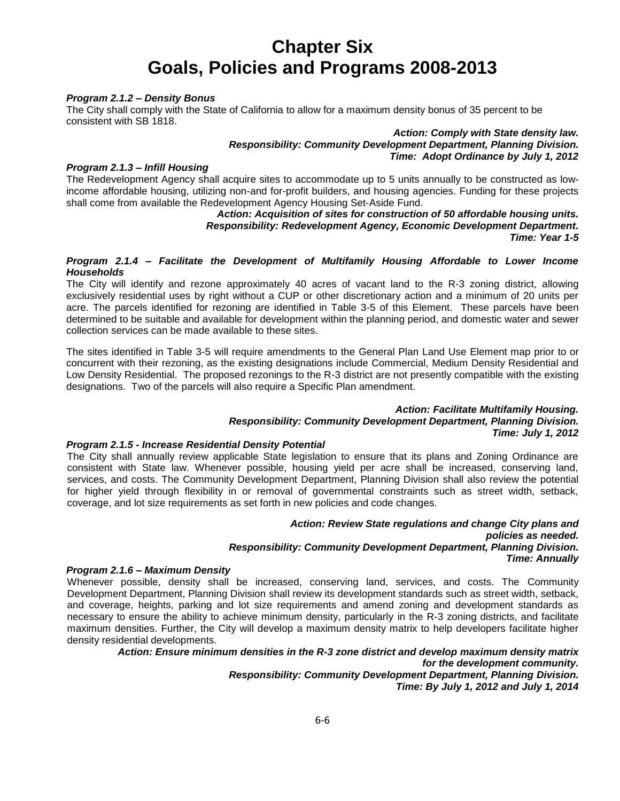## *Program 2.1.2 – Density Bonus*

The City shall comply with the State of California to allow for a maximum density bonus of 35 percent to be consistent with SB 1818.

> *Action: Comply with State density law. Responsibility: Community Development Department, Planning Division. Time: Adopt Ordinance by July 1, 2012*

### *Program 2.1.3 – Infill Housing*

The Redevelopment Agency shall acquire sites to accommodate up to 5 units annually to be constructed as lowincome affordable housing, utilizing non-and for-profit builders, and housing agencies. Funding for these projects shall come from available the Redevelopment Agency Housing Set-Aside Fund.

*Action: Acquisition of sites for construction of 50 affordable housing units. Responsibility: Redevelopment Agency, Economic Development Department. Time: Year 1-5*

## *Program 2.1.4 – Facilitate the Development of Multifamily Housing Affordable to Lower Income Households*

The City will identify and rezone approximately 40 acres of vacant land to the R-3 zoning district, allowing exclusively residential uses by right without a CUP or other discretionary action and a minimum of 20 units per acre. The parcels identified for rezoning are identified in Table 3-5 of this Element. These parcels have been determined to be suitable and available for development within the planning period, and domestic water and sewer collection services can be made available to these sites.

The sites identified in Table 3-5 will require amendments to the General Plan Land Use Element map prior to or concurrent with their rezoning, as the existing designations include Commercial, Medium Density Residential and Low Density Residential. The proposed rezonings to the R-3 district are not presently compatible with the existing designations. Two of the parcels will also require a Specific Plan amendment.

## *Action: Facilitate Multifamily Housing.*

## *Responsibility: Community Development Department, Planning Division. Time: July 1, 2012*

## *Program 2.1.5 - Increase Residential Density Potential*

The City shall annually review applicable State legislation to ensure that its plans and Zoning Ordinance are consistent with State law. Whenever possible, housing yield per acre shall be increased, conserving land, services, and costs. The Community Development Department, Planning Division shall also review the potential for higher yield through flexibility in or removal of governmental constraints such as street width, setback, coverage, and lot size requirements as set forth in new policies and code changes.

## *Action: Review State regulations and change City plans and policies as needed. Responsibility: Community Development Department, Planning Division. Time: Annually*

## *Program 2.1.6 – Maximum Density*

Whenever possible, density shall be increased, conserving land, services, and costs. The Community Development Department, Planning Division shall review its development standards such as street width, setback, and coverage, heights, parking and lot size requirements and amend zoning and development standards as necessary to ensure the ability to achieve minimum density, particularly in the R-3 zoning districts, and facilitate maximum densities. Further, the City will develop a maximum density matrix to help developers facilitate higher density residential developments.

## *Action: Ensure minimum densities in the R-3 zone district and develop maximum density matrix for the development community. Responsibility: Community Development Department, Planning Division. Time: By July 1, 2012 and July 1, 2014*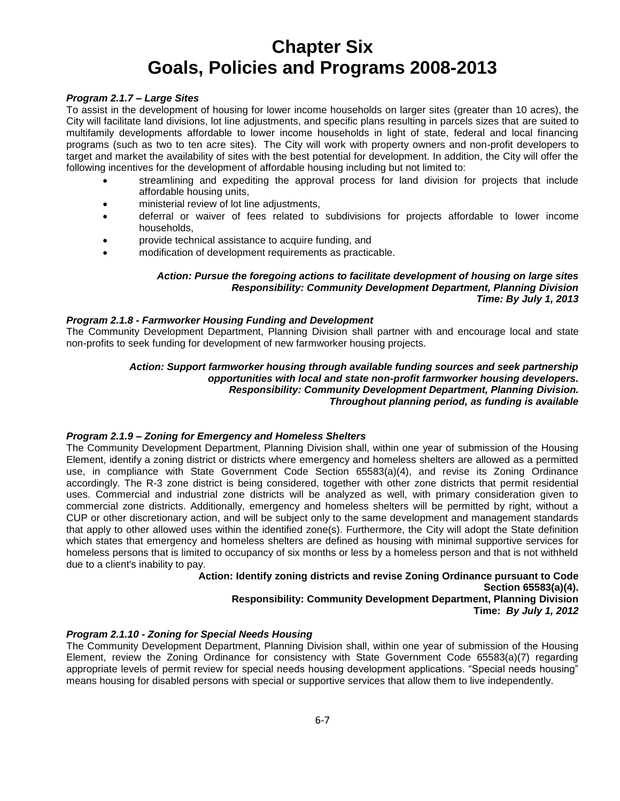## *Program 2.1.7 – Large Sites*

To assist in the development of housing for lower income households on larger sites (greater than 10 acres), the City will facilitate land divisions, lot line adjustments, and specific plans resulting in parcels sizes that are suited to multifamily developments affordable to lower income households in light of state, federal and local financing programs (such as two to ten acre sites). The City will work with property owners and non-profit developers to target and market the availability of sites with the best potential for development. In addition, the City will offer the following incentives for the development of affordable housing including but not limited to:

- streamlining and expediting the approval process for land division for projects that include affordable housing units,
- ministerial review of lot line adjustments,
- deferral or waiver of fees related to subdivisions for projects affordable to lower income households,
- provide technical assistance to acquire funding, and
- modification of development requirements as practicable.

## *Action: Pursue the foregoing actions to facilitate development of housing on large sites Responsibility: Community Development Department, Planning Division Time: By July 1, 2013*

#### *Program 2.1.8 - Farmworker Housing Funding and Development*

The Community Development Department, Planning Division shall partner with and encourage local and state non-profits to seek funding for development of new farmworker housing projects.

## *Action: Support farmworker housing through available funding sources and seek partnership opportunities with local and state non-profit farmworker housing developers. Responsibility: Community Development Department, Planning Division. Throughout planning period, as funding is available*

## *Program 2.1.9 – Zoning for Emergency and Homeless Shelters*

The Community Development Department, Planning Division shall, within one year of submission of the Housing Element, identify a zoning district or districts where emergency and homeless shelters are allowed as a permitted use, in compliance with State Government Code Section 65583(a)(4), and revise its Zoning Ordinance accordingly. The R-3 zone district is being considered, together with other zone districts that permit residential uses. Commercial and industrial zone districts will be analyzed as well, with primary consideration given to commercial zone districts. Additionally, emergency and homeless shelters will be permitted by right, without a CUP or other discretionary action, and will be subject only to the same development and management standards that apply to other allowed uses within the identified zone(s). Furthermore, the City will adopt the State definition which states that emergency and homeless shelters are defined as housing with minimal supportive services for homeless persons that is limited to occupancy of six months or less by a homeless person and that is not withheld due to a client's inability to pay.

### **Action: Identify zoning districts and revise Zoning Ordinance pursuant to Code Section 65583(a)(4). Responsibility: Community Development Department, Planning Division Time:** *By July 1, 2012*

## *Program 2.1.10 - Zoning for Special Needs Housing*

The Community Development Department, Planning Division shall, within one year of submission of the Housing Element, review the Zoning Ordinance for consistency with State Government Code 65583(a)(7) regarding appropriate levels of permit review for special needs housing development applications. "Special needs housing" means housing for disabled persons with special or supportive services that allow them to live independently.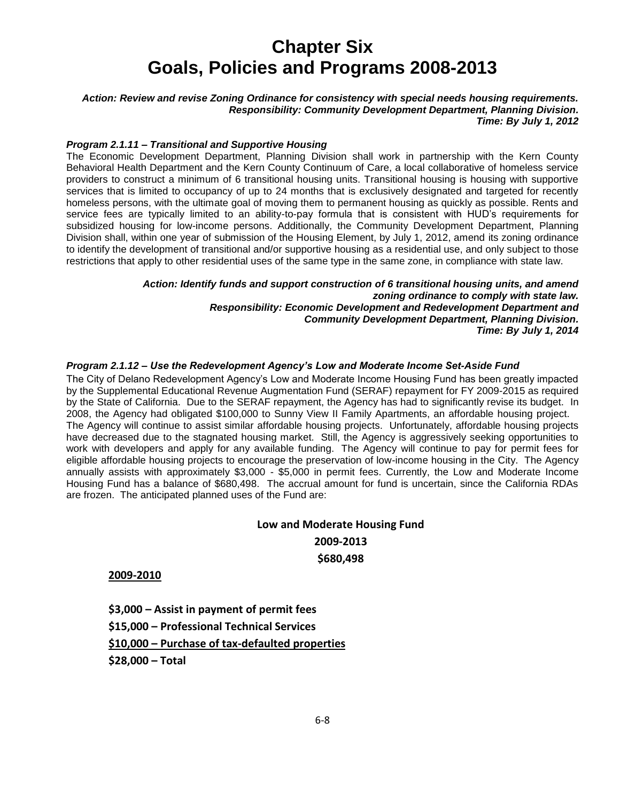*Action: Review and revise Zoning Ordinance for consistency with special needs housing requirements. Responsibility: Community Development Department, Planning Division. Time: By July 1, 2012*

### *Program 2.1.11 – Transitional and Supportive Housing*

The Economic Development Department, Planning Division shall work in partnership with the Kern County Behavioral Health Department and the Kern County Continuum of Care, a local collaborative of homeless service providers to construct a minimum of 6 transitional housing units. Transitional housing is housing with supportive services that is limited to occupancy of up to 24 months that is exclusively designated and targeted for recently homeless persons, with the ultimate goal of moving them to permanent housing as quickly as possible. Rents and service fees are typically limited to an ability-to-pay formula that is consistent with HUD's requirements for subsidized housing for low-income persons. Additionally, the Community Development Department, Planning Division shall, within one year of submission of the Housing Element, by July 1, 2012, amend its zoning ordinance to identify the development of transitional and/or supportive housing as a residential use, and only subject to those restrictions that apply to other residential uses of the same type in the same zone, in compliance with state law.

> *Action: Identify funds and support construction of 6 transitional housing units, and amend zoning ordinance to comply with state law. Responsibility: Economic Development and Redevelopment Department and Community Development Department, Planning Division. Time: By July 1, 2014*

### *Program 2.1.12 – Use the Redevelopment Agency's Low and Moderate Income Set-Aside Fund*

The City of Delano Redevelopment Agency's Low and Moderate Income Housing Fund has been greatly impacted by the Supplemental Educational Revenue Augmentation Fund (SERAF) repayment for FY 2009-2015 as required by the State of California. Due to the SERAF repayment, the Agency has had to significantly revise its budget. In 2008, the Agency had obligated \$100,000 to Sunny View II Family Apartments, an affordable housing project. The Agency will continue to assist similar affordable housing projects. Unfortunately, affordable housing projects have decreased due to the stagnated housing market. Still, the Agency is aggressively seeking opportunities to work with developers and apply for any available funding. The Agency will continue to pay for permit fees for eligible affordable housing projects to encourage the preservation of low-income housing in the City. The Agency annually assists with approximately \$3,000 - \$5,000 in permit fees. Currently, the Low and Moderate Income Housing Fund has a balance of \$680,498. The accrual amount for fund is uncertain, since the California RDAs are frozen. The anticipated planned uses of the Fund are:

## **Low and Moderate Housing Fund 2009-2013 \$680,498**

 **2009-2010**

**\$3,000 – Assist in payment of permit fees \$15,000 – Professional Technical Services \$10,000 – Purchase of tax-defaulted properties \$28,000 – Total**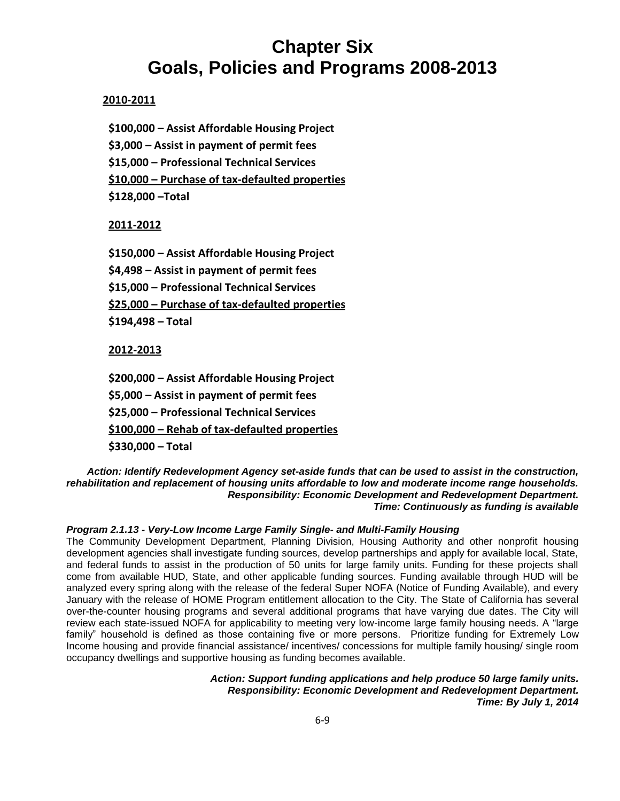## **2010-2011**

**\$100,000 – Assist Affordable Housing Project \$3,000 – Assist in payment of permit fees \$15,000 – Professional Technical Services \$10,000 – Purchase of tax-defaulted properties \$128,000 –Total** 

## **2011-2012**

**\$150,000 – Assist Affordable Housing Project \$4,498 – Assist in payment of permit fees \$15,000 – Professional Technical Services \$25,000 – Purchase of tax-defaulted properties \$194,498 – Total**

## **2012-2013**

**\$200,000 – Assist Affordable Housing Project \$5,000 – Assist in payment of permit fees \$25,000 – Professional Technical Services \$100,000 – Rehab of tax-defaulted properties \$330,000 – Total** 

*Action: Identify Redevelopment Agency set-aside funds that can be used to assist in the construction, rehabilitation and replacement of housing units affordable to low and moderate income range households. Responsibility: Economic Development and Redevelopment Department. Time: Continuously as funding is available*

## *Program 2.1.13 - Very-Low Income Large Family Single- and Multi-Family Housing*

The Community Development Department, Planning Division, Housing Authority and other nonprofit housing development agencies shall investigate funding sources, develop partnerships and apply for available local, State, and federal funds to assist in the production of 50 units for large family units. Funding for these projects shall come from available HUD, State, and other applicable funding sources. Funding available through HUD will be analyzed every spring along with the release of the federal Super NOFA (Notice of Funding Available), and every January with the release of HOME Program entitlement allocation to the City. The State of California has several over-the-counter housing programs and several additional programs that have varying due dates. The City will review each state-issued NOFA for applicability to meeting very low-income large family housing needs. A "large family" household is defined as those containing five or more persons. Prioritize funding for Extremely Low Income housing and provide financial assistance/ incentives/ concessions for multiple family housing/ single room occupancy dwellings and supportive housing as funding becomes available.

> *Action: Support funding applications and help produce 50 large family units. Responsibility: Economic Development and Redevelopment Department. Time: By July 1, 2014*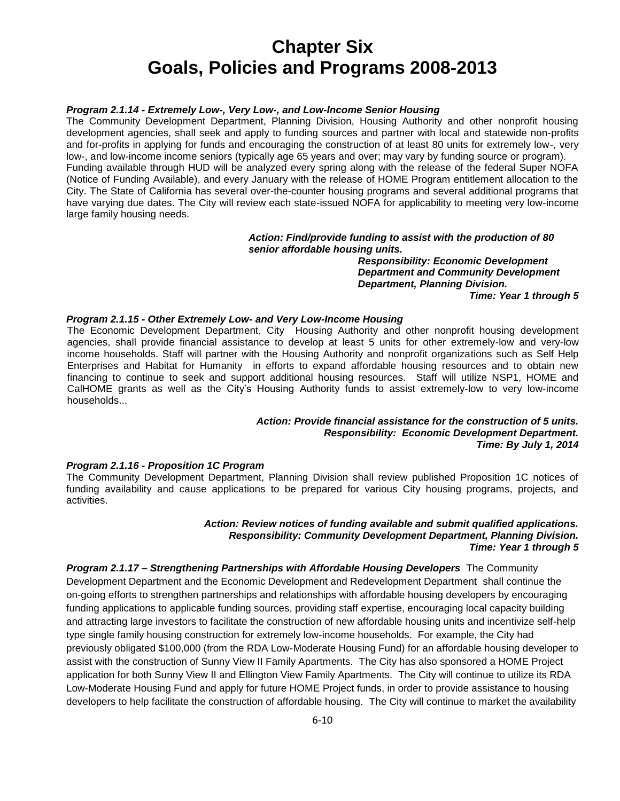## *Program 2.1.14 - Extremely Low-, Very Low-, and Low-Income Senior Housing*

The Community Development Department, Planning Division, Housing Authority and other nonprofit housing development agencies, shall seek and apply to funding sources and partner with local and statewide non-profits and for-profits in applying for funds and encouraging the construction of at least 80 units for extremely low-, very low-, and low-income income seniors (typically age 65 years and over; may vary by funding source or program). Funding available through HUD will be analyzed every spring along with the release of the federal Super NOFA (Notice of Funding Available), and every January with the release of HOME Program entitlement allocation to the City. The State of California has several over-the-counter housing programs and several additional programs that have varying due dates. The City will review each state-issued NOFA for applicability to meeting very low-income large family housing needs.

#### *Action: Find/provide funding to assist with the production of 80 senior affordable housing units.*

*Responsibility: Economic Development Department and Community Development Department, Planning Division.* 

*Time: Year 1 through 5* 

## *Program 2.1.15 - Other Extremely Low- and Very Low-Income Housing*

The Economic Development Department, City Housing Authority and other nonprofit housing development agencies, shall provide financial assistance to develop at least 5 units for other extremely-low and very-low income households. Staff will partner with the Housing Authority and nonprofit organizations such as Self Help Enterprises and Habitat for Humanity in efforts to expand affordable housing resources and to obtain new financing to continue to seek and support additional housing resources. Staff will utilize NSP1, HOME and CalHOME grants as well as the City's Housing Authority funds to assist extremely-low to very low-income households...

## *Action: Provide financial assistance for the construction of 5 units. Responsibility: Economic Development Department. Time: By July 1, 2014*

## *Program 2.1.16 - Proposition 1C Program*

The Community Development Department, Planning Division shall review published Proposition 1C notices of funding availability and cause applications to be prepared for various City housing programs, projects, and activities.

## *Action: Review notices of funding available and submit qualified applications. Responsibility: Community Development Department, Planning Division. Time: Year 1 through 5*

*Program 2.1.17 – Strengthening Partnerships with Affordable Housing Developers* The Community Development Department and the Economic Development and Redevelopment Department shall continue the on-going efforts to strengthen partnerships and relationships with affordable housing developers by encouraging funding applications to applicable funding sources, providing staff expertise, encouraging local capacity building and attracting large investors to facilitate the construction of new affordable housing units and incentivize self-help type single family housing construction for extremely low-income households. For example, the City had previously obligated \$100,000 (from the RDA Low-Moderate Housing Fund) for an affordable housing developer to assist with the construction of Sunny View II Family Apartments. The City has also sponsored a HOME Project application for both Sunny View II and Ellington View Family Apartments. The City will continue to utilize its RDA Low-Moderate Housing Fund and apply for future HOME Project funds, in order to provide assistance to housing developers to help facilitate the construction of affordable housing. The City will continue to market the availability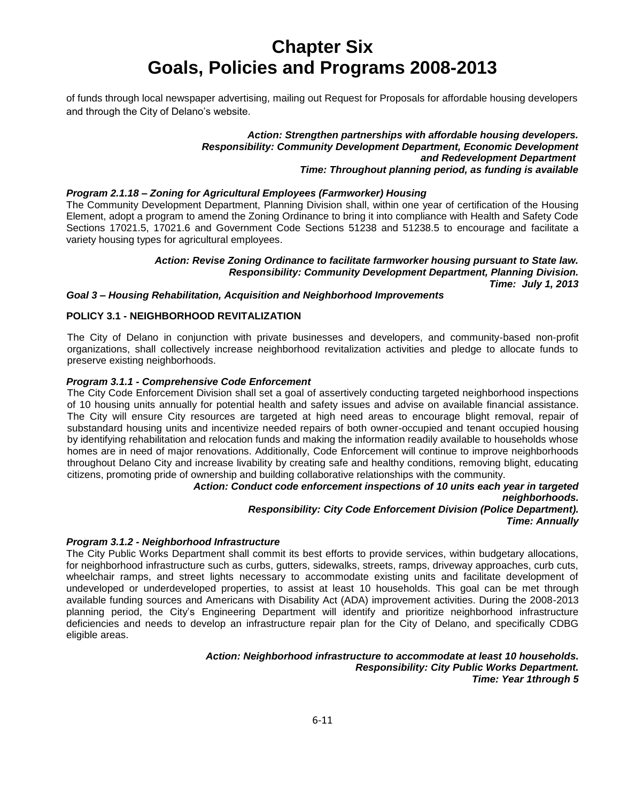of funds through local newspaper advertising, mailing out Request for Proposals for affordable housing developers and through the City of Delano's website.

> *Action: Strengthen partnerships with affordable housing developers. Responsibility: Community Development Department, Economic Development and Redevelopment Department Time: Throughout planning period, as funding is available*

## *Program 2.1.18 – Zoning for Agricultural Employees (Farmworker) Housing*

The Community Development Department, Planning Division shall, within one year of certification of the Housing Element, adopt a program to amend the Zoning Ordinance to bring it into compliance with Health and Safety Code Sections 17021.5, 17021.6 and Government Code Sections 51238 and 51238.5 to encourage and facilitate a variety housing types for agricultural employees.

## *Action: Revise Zoning Ordinance to facilitate farmworker housing pursuant to State law. Responsibility: Community Development Department, Planning Division.*

*Time: July 1, 2013*

## *Goal 3 – Housing Rehabilitation, Acquisition and Neighborhood Improvements*

## **POLICY 3.1 - NEIGHBORHOOD REVITALIZATION**

The City of Delano in conjunction with private businesses and developers, and community-based non-profit organizations, shall collectively increase neighborhood revitalization activities and pledge to allocate funds to preserve existing neighborhoods.

### *Program 3.1.1 - Comprehensive Code Enforcement*

The City Code Enforcement Division shall set a goal of assertively conducting targeted neighborhood inspections of 10 housing units annually for potential health and safety issues and advise on available financial assistance. The City will ensure City resources are targeted at high need areas to encourage blight removal, repair of substandard housing units and incentivize needed repairs of both owner-occupied and tenant occupied housing by identifying rehabilitation and relocation funds and making the information readily available to households whose homes are in need of major renovations. Additionally, Code Enforcement will continue to improve neighborhoods throughout Delano City and increase livability by creating safe and healthy conditions, removing blight, educating citizens, promoting pride of ownership and building collaborative relationships with the community.

> *Action: Conduct code enforcement inspections of 10 units each year in targeted neighborhoods. Responsibility: City Code Enforcement Division (Police Department). Time: Annually*

#### *Program 3.1.2 - Neighborhood Infrastructure*

The City Public Works Department shall commit its best efforts to provide services, within budgetary allocations, for neighborhood infrastructure such as curbs, gutters, sidewalks, streets, ramps, driveway approaches, curb cuts, wheelchair ramps, and street lights necessary to accommodate existing units and facilitate development of undeveloped or underdeveloped properties, to assist at least 10 households. This goal can be met through available funding sources and Americans with Disability Act (ADA) improvement activities. During the 2008-2013 planning period, the City's Engineering Department will identify and prioritize neighborhood infrastructure deficiencies and needs to develop an infrastructure repair plan for the City of Delano, and specifically CDBG eligible areas.

### *Action: Neighborhood infrastructure to accommodate at least 10 households. Responsibility: City Public Works Department. Time: Year 1through 5*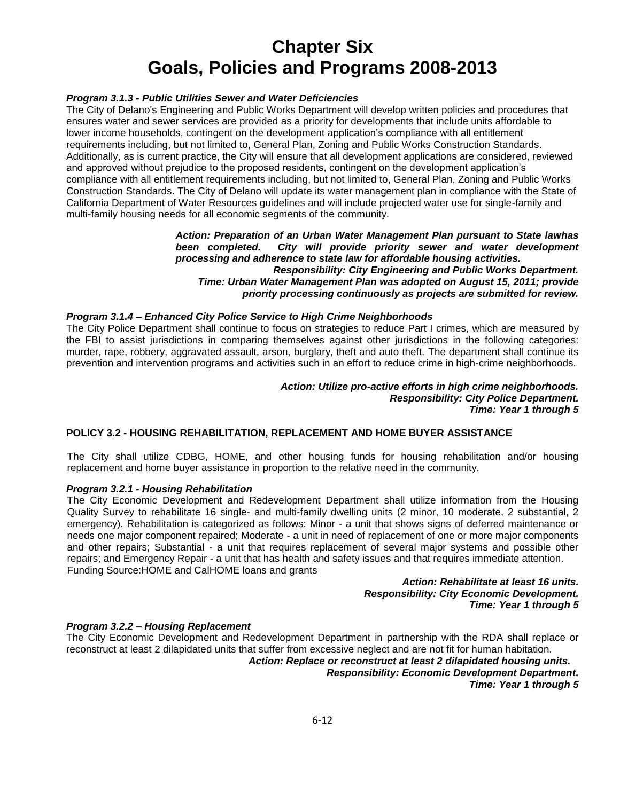## *Program 3.1.3 - Public Utilities Sewer and Water Deficiencies*

The City of Delano's Engineering and Public Works Department will develop written policies and procedures that ensures water and sewer services are provided as a priority for developments that include units affordable to lower income households, contingent on the development application's compliance with all entitlement requirements including, but not limited to, General Plan, Zoning and Public Works Construction Standards. Additionally, as is current practice, the City will ensure that all development applications are considered, reviewed and approved without prejudice to the proposed residents, contingent on the development application's compliance with all entitlement requirements including, but not limited to, General Plan, Zoning and Public Works Construction Standards. The City of Delano will update its water management plan in compliance with the State of California Department of Water Resources guidelines and will include projected water use for single-family and multi-family housing needs for all economic segments of the community.

## *Action: Preparation of an Urban Water Management Plan pursuant to State lawhas been completed. City will provide priority sewer and water development processing and adherence to state law for affordable housing activities. Responsibility: City Engineering and Public Works Department. Time: Urban Water Management Plan was adopted on August 15, 2011; provide priority processing continuously as projects are submitted for review.*

### *Program 3.1.4 – Enhanced City Police Service to High Crime Neighborhoods*

The City Police Department shall continue to focus on strategies to reduce Part I crimes, which are measured by the FBI to assist jurisdictions in comparing themselves against other jurisdictions in the following categories: murder, rape, robbery, aggravated assault, arson, burglary, theft and auto theft. The department shall continue its prevention and intervention programs and activities such in an effort to reduce crime in high-crime neighborhoods.

## *Action: Utilize pro-active efforts in high crime neighborhoods. Responsibility: City Police Department. Time: Year 1 through 5*

## **POLICY 3.2 - HOUSING REHABILITATION, REPLACEMENT AND HOME BUYER ASSISTANCE**

The City shall utilize CDBG, HOME, and other housing funds for housing rehabilitation and/or housing replacement and home buyer assistance in proportion to the relative need in the community.

### *Program 3.2.1 - Housing Rehabilitation*

The City Economic Development and Redevelopment Department shall utilize information from the Housing Quality Survey to rehabilitate 16 single- and multi-family dwelling units (2 minor, 10 moderate, 2 substantial, 2 emergency). Rehabilitation is categorized as follows: Minor - a unit that shows signs of deferred maintenance or needs one major component repaired; Moderate - a unit in need of replacement of one or more major components and other repairs; Substantial - a unit that requires replacement of several major systems and possible other repairs; and Emergency Repair - a unit that has health and safety issues and that requires immediate attention. Funding Source:HOME and CalHOME loans and grants

#### *Action: Rehabilitate at least 16 units. Responsibility: City Economic Development. Time: Year 1 through 5*

#### *Program 3.2.2 – Housing Replacement*

The City Economic Development and Redevelopment Department in partnership with the RDA shall replace or reconstruct at least 2 dilapidated units that suffer from excessive neglect and are not fit for human habitation.

*Action: Replace or reconstruct at least 2 dilapidated housing units. Responsibility: Economic Development Department. Time: Year 1 through 5*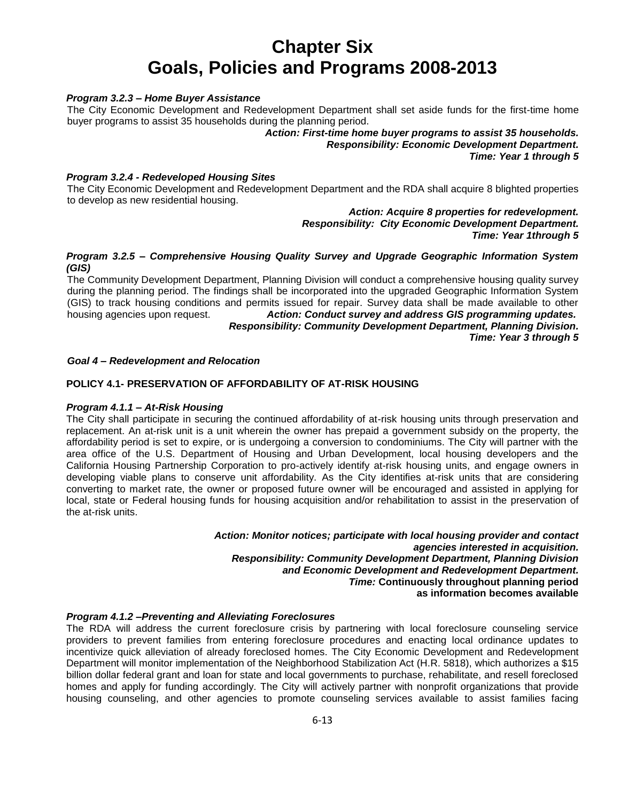## *Program 3.2.3 – Home Buyer Assistance*

The City Economic Development and Redevelopment Department shall set aside funds for the first-time home buyer programs to assist 35 households during the planning period.

> *Action: First-time home buyer programs to assist 35 households. Responsibility: Economic Development Department. Time: Year 1 through 5*

## *Program 3.2.4 - Redeveloped Housing Sites*

The City Economic Development and Redevelopment Department and the RDA shall acquire 8 blighted properties to develop as new residential housing.

> *Action: Acquire 8 properties for redevelopment. Responsibility: City Economic Development Department. Time: Year 1through 5*

## *Program 3.2.5 – Comprehensive Housing Quality Survey and Upgrade Geographic Information System (GIS)*

The Community Development Department, Planning Division will conduct a comprehensive housing quality survey during the planning period. The findings shall be incorporated into the upgraded Geographic Information System (GIS) to track housing conditions and permits issued for repair. Survey data shall be made available to other housing agencies upon request. *Action: Conduct survey and address GIS programming updates. Responsibility: Community Development Department, Planning Division.*

*Time: Year 3 through 5*

### *Goal 4 – Redevelopment and Relocation*

## **POLICY 4.1- PRESERVATION OF AFFORDABILITY OF AT-RISK HOUSING**

#### *Program 4.1.1 – At-Risk Housing*

The City shall participate in securing the continued affordability of at-risk housing units through preservation and replacement. An at-risk unit is a unit wherein the owner has prepaid a government subsidy on the property, the affordability period is set to expire, or is undergoing a conversion to condominiums. The City will partner with the area office of the U.S. Department of Housing and Urban Development, local housing developers and the California Housing Partnership Corporation to pro-actively identify at-risk housing units, and engage owners in developing viable plans to conserve unit affordability. As the City identifies at-risk units that are considering converting to market rate, the owner or proposed future owner will be encouraged and assisted in applying for local, state or Federal housing funds for housing acquisition and/or rehabilitation to assist in the preservation of the at-risk units.

> *Action: Monitor notices; participate with local housing provider and contact agencies interested in acquisition. Responsibility: Community Development Department, Planning Division and Economic Development and Redevelopment Department. Time:* **Continuously throughout planning period as information becomes available**

### *Program 4.1.2 –Preventing and Alleviating Foreclosures*

The RDA will address the current foreclosure crisis by partnering with local foreclosure counseling service providers to prevent families from entering foreclosure procedures and enacting local ordinance updates to incentivize quick alleviation of already foreclosed homes. The City Economic Development and Redevelopment Department will monitor implementation of the Neighborhood Stabilization Act (H.R. 5818), which authorizes a \$15 billion dollar federal grant and loan for state and local governments to purchase, rehabilitate, and resell foreclosed homes and apply for funding accordingly. The City will actively partner with nonprofit organizations that provide housing counseling, and other agencies to promote counseling services available to assist families facing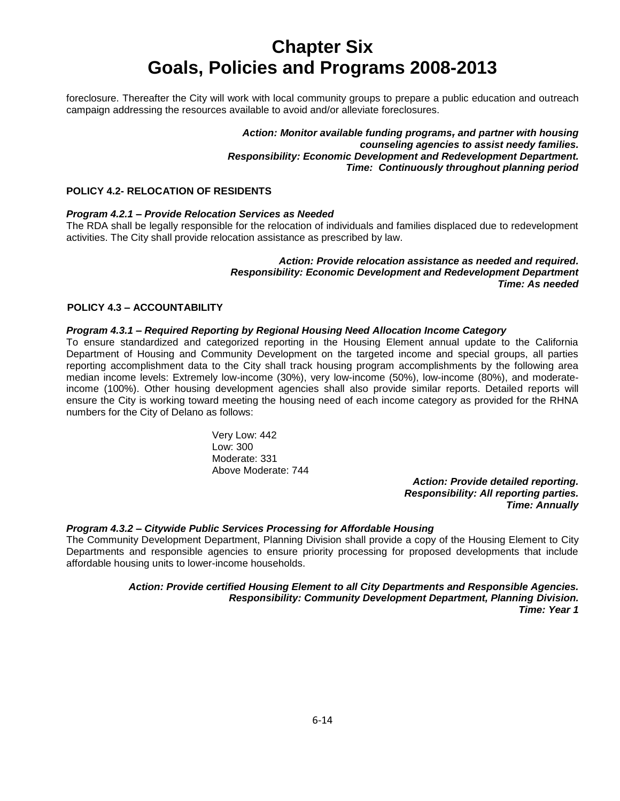foreclosure. Thereafter the City will work with local community groups to prepare a public education and outreach campaign addressing the resources available to avoid and/or alleviate foreclosures.

> *Action: Monitor available funding programs, and partner with housing counseling agencies to assist needy families. Responsibility: Economic Development and Redevelopment Department. Time: Continuously throughout planning period*

## **POLICY 4.2- RELOCATION OF RESIDENTS**

## *Program 4.2.1 – Provide Relocation Services as Needed*

The RDA shall be legally responsible for the relocation of individuals and families displaced due to redevelopment activities. The City shall provide relocation assistance as prescribed by law.

## *Action: Provide relocation assistance as needed and required. Responsibility: Economic Development and Redevelopment Department Time: As needed*

## **POLICY 4.3 – ACCOUNTABILITY**

## *Program 4.3.1 – Required Reporting by Regional Housing Need Allocation Income Category*

To ensure standardized and categorized reporting in the Housing Element annual update to the California Department of Housing and Community Development on the targeted income and special groups, all parties reporting accomplishment data to the City shall track housing program accomplishments by the following area median income levels: Extremely low-income (30%), very low-income (50%), low-income (80%), and moderateincome (100%). Other housing development agencies shall also provide similar reports. Detailed reports will ensure the City is working toward meeting the housing need of each income category as provided for the RHNA numbers for the City of Delano as follows:

> Very Low: 442 Low: 300 Moderate: 331 Above Moderate: 744

*Action: Provide detailed reporting. Responsibility: All reporting parties. Time: Annually*

## *Program 4.3.2 – Citywide Public Services Processing for Affordable Housing*

The Community Development Department, Planning Division shall provide a copy of the Housing Element to City Departments and responsible agencies to ensure priority processing for proposed developments that include affordable housing units to lower-income households.

> *Action: Provide certified Housing Element to all City Departments and Responsible Agencies. Responsibility: Community Development Department, Planning Division. Time: Year 1*